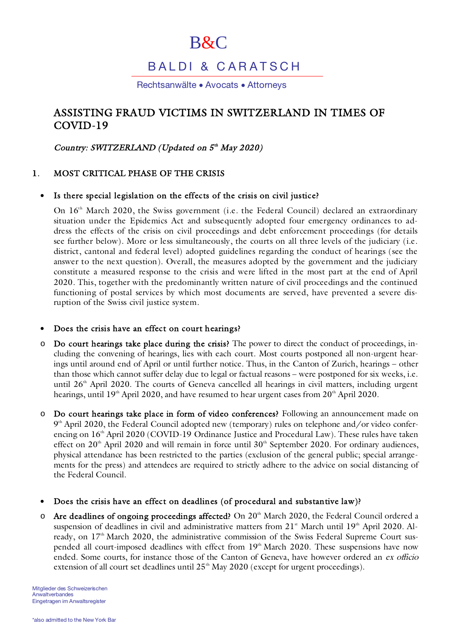# B&C

## B A L D I & CARATSCH

Rechtsanwälte • Avocats • Attorneys

### ASSISTING FRAUD VICTIMS IN SWITZERLAND IN TIMES OF COVID-19

Country: SWITZERLAND (Updated on 5<sup>th</sup> May 2020)

#### 1. MOST CRITICAL PHASE OF THE CRISIS

#### Is there special legislation on the effects of the crisis on civil justice?

On 16<sup>th</sup> March 2020, the Swiss government (i.e. the Federal Council) declared an extraordinary situation under the Epidemics Act and subsequently adopted four emergency ordinances to address the effects of the crisis on civil proceedings and debt enforcement proceedings (for details see further below). More or less simultaneously, the courts on all three levels of the judiciary (i.e. district, cantonal and federal level) adopted guidelines regarding the conduct of hearings (see the answer to the next question). Overall, the measures adopted by the government and the judiciary constitute a measured response to the crisis and were lifted in the most part at the end of April 2020. This, together with the predominantly written nature of civil proceedings and the continued functioning of postal services by which most documents are served, have prevented a severe disruption of the Swiss civil justice system.

#### Does the crisis have an effect on court hearings?

- $\circ$  Do court hearings take place during the crisis? The power to direct the conduct of proceedings, including the convening of hearings, lies with each court. Most courts postponed all non-urgent hearings until around end of April or until further notice. Thus, in the Canton of Zurich, hearings – other than those which cannot suffer delay due to legal or factual reasons – were postponed for six weeks, i.e. until 26<sup>th</sup> April 2020. The courts of Geneva cancelled all hearings in civil matters, including urgent hearings, until 19<sup>th</sup> April 2020, and have resumed to hear urgent cases from  $20<sup>th</sup>$  April 2020.
- o Do court hearings take place in form of video conferences? Following an announcement made on  $9^{\text{th}}$  April 2020, the Federal Council adopted new (temporary) rules on telephone and/or video conferencing on 16<sup>th</sup> April 2020 (COVID-19 Ordinance Justice and Procedural Law). These rules have taken effect on  $20<sup>th</sup>$  April 2020 and will remain in force until  $30<sup>th</sup>$  September 2020. For ordinary audiences, physical attendance has been restricted to the parties (exclusion of the general public; special arrangements for the press) and attendees are required to strictly adhere to the advice on social distancing of the Federal Council.
- Does the crisis have an effect on deadlines (of procedural and substantive law)?
- o Are deadlines of ongoing proceedings affected? On 20<sup>th</sup> March 2020, the Federal Council ordered a suspension of deadlines in civil and administrative matters from 21<sup>st</sup> March until 19<sup>th</sup> April 2020. Already, on 17<sup>th</sup> March 2020, the administrative commission of the Swiss Federal Supreme Court suspended all court-imposed deadlines with effect from 19<sup>th</sup> March 2020. These suspensions have now ended. Some courts, for instance those of the Canton of Geneva, have however ordered an ex officio extension of all court set deadlines until  $25<sup>th</sup>$  May 2020 (except for urgent proceedings).

Mitglieder des Schweizerischen **Anwaltverhandes** Eingetragen im Anwaltsregister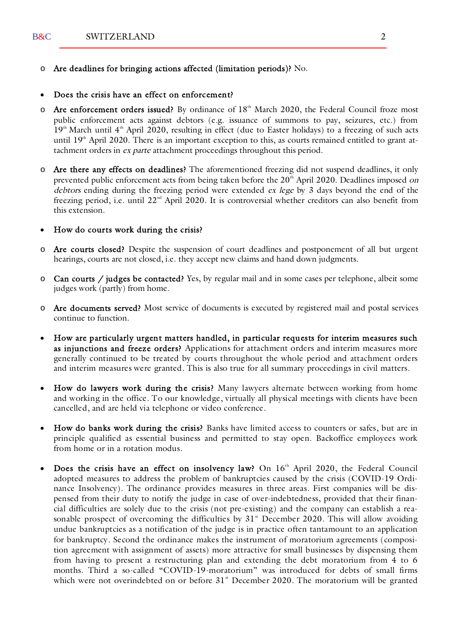o Are deadlines for bringing actions affected (limitation periods)? No.

#### Does the crisis have an effect on enforcement?

- Are enforcement orders issued? By ordinance of  $18<sup>th</sup>$  March 2020, the Federal Council froze most public enforcement acts against debtors (e.g. issuance of summons to pay, seizures, etc.) from  $19<sup>th</sup>$  March until  $4<sup>th</sup>$  April 2020, resulting in effect (due to Easter holidays) to a freezing of such acts until 19<sup>th</sup> April 2020. There is an important exception to this, as courts remained entitled to grant attachment orders in *ex parte* attachment proceedings throughout this period.
- o Are there any effects on deadlines? The aforementioned freezing did not suspend deadlines, it only prevented public enforcement acts from being taken before the 20<sup>th</sup> April 2020. Deadlines imposed on debtors ending during the freezing period were extended ex lege by 3 days beyond the end of the freezing period, i.e. until  $22<sup>nd</sup>$  April 2020. It is controversial whether creditors can also benefit from this extension.
- How do courts work during the crisis?
- o Are courts closed? Despite the suspension of court deadlines and postponement of all but urgent hearings, courts are not closed, i.e. they accept new claims and hand down judgments.
- o Can courts / judges be contacted? Yes, by regular mail and in some cases per telephone, albeit some judges work (partly) from home.
- o Are documents served? Most service of documents is executed by registered mail and postal services continue to function.
- How are particularly urgent matters handled, in particular requests for interim measures such as injunctions and freeze orders? Applications for attachment orders and interim measures more generally continued to be treated by courts throughout the whole period and attachment orders and interim measures were granted. This is also true for all summary proceedings in civil matters.
- How do lawyers work during the crisis? Many lawyers alternate between working from home and working in the office. To our knowledge, virtually all physical meetings with clients have been cancelled, and are held via telephone or video conference.
- How do banks work during the crisis? Banks have limited access to counters or safes, but are in principle qualified as essential business and permitted to stay open. Backoffice employees work from home or in a rotation modus.
- Does the crisis have an effect on insolvency law? On 16<sup>th</sup> April 2020, the Federal Council adopted measures to address the problem of bankruptcies caused by the crisis (COVID-19 Ordinance Insolvency). The ordinance provides measures in three areas. First companies will be dispensed from their duty to notify the judge in case of over-indebtedness, provided that their financial difficulties are solely due to the crisis (not pre-existing) and the company can establish a reasonable prospect of overcoming the difficulties by  $31<sup>*</sup>$  December 2020. This will allow avoiding undue bankruptcies as a notification of the judge is in practice often tantamount to an application for bankruptcy. Second the ordinance makes the instrument of moratorium agreements (composition agreement with assignment of assets) more attractive for small businesses by dispensing them from having to present a restructuring plan and extending the debt moratorium from 4 to 6 months. Third a so-called "COVID-19-moratorium" was introduced for debts of small firms which were not overindebted on or before  $31^*$  December 2020. The moratorium will be granted